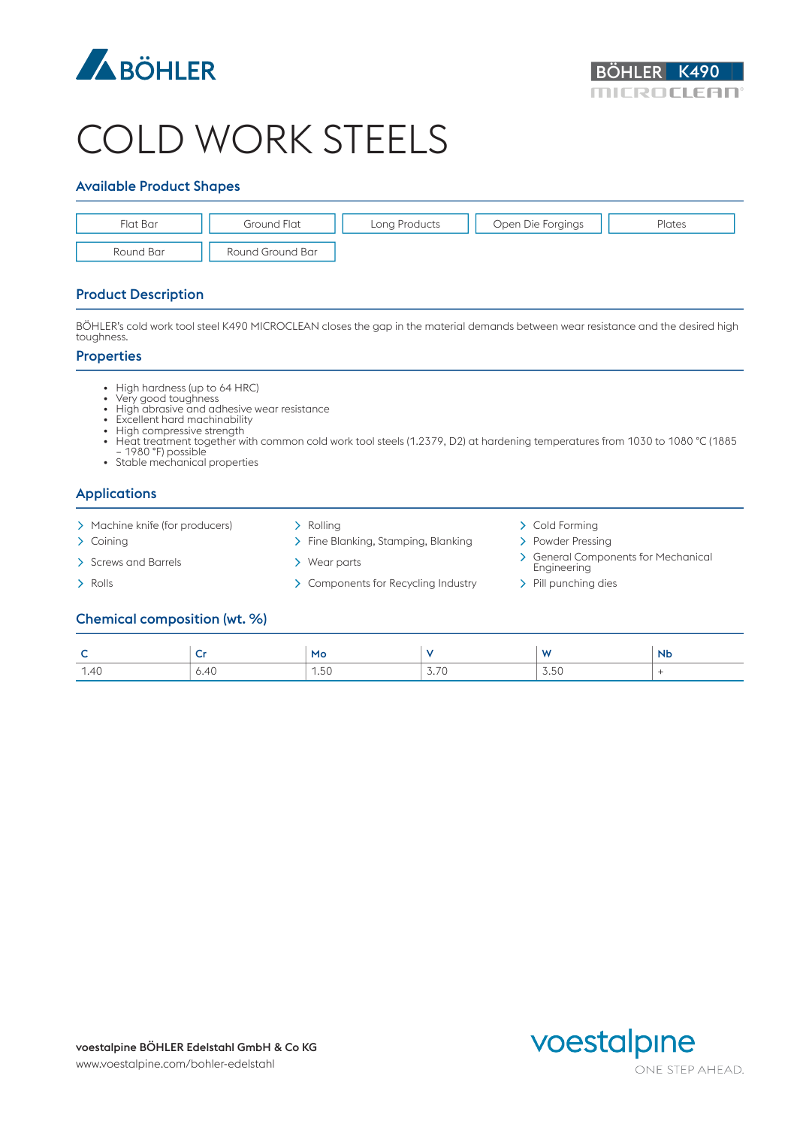



# COLD WORK STEELS

### Available Product Shapes



### Product Description

BÖHLER's cold work tool steel K490 MICROCLEAN closes the gap in the material demands between wear resistance and the desired high toughness.

#### **Properties**

- High hardness (up to 64 HRC)
- Very good toughness
- High abrasive and adhesive wear resistance
- Excellent hard machinability<br>• High compressive strength
- High compressive strength
- Heat treatment together with common cold work tool steels (1.2379, D2) at hardening temperatures from 1030 to 1080 °C (1885 – 1980 °F) possible
- Stable mechanical properties

# Applications

- > Machine knife (for producers) > Rolling > Cold Forming > Cold Forming
- 
- 
- 
- 
- > Coining Time Blanking, Stamping, Blanking Powder Pressing
	-
- > Rolls > Components for Recycling Industry > Pill punching dies
- 
- 
- Screws and Barrels 
> Screws and Barrels
> Screws and Barrels
> Screws and Barrels
→ Screws and Barrels
→ Screws and Barrels
→ Screws and Barrels
→ Screws and Barrels
→ Screws and Barrels
→ Screws and Barrels
→ Screws and **Engineering** 
	-

#### Chemical composition (wt. %)

| ∼                                |      | Mo        |                                                                         | $\mathbf{A}$<br>.                              | <b>Nb</b> |
|----------------------------------|------|-----------|-------------------------------------------------------------------------|------------------------------------------------|-----------|
| 1.40<br>$\overline{\phantom{a}}$ | 6.40 | 1.50<br>. | $\overline{\phantom{a}}$<br>$\overline{\phantom{a}}$<br>$\cup$ . $\cup$ | $\sim$ $\sim$<br>$\sim$<br>$\cup\cdot\cup\cup$ |           |

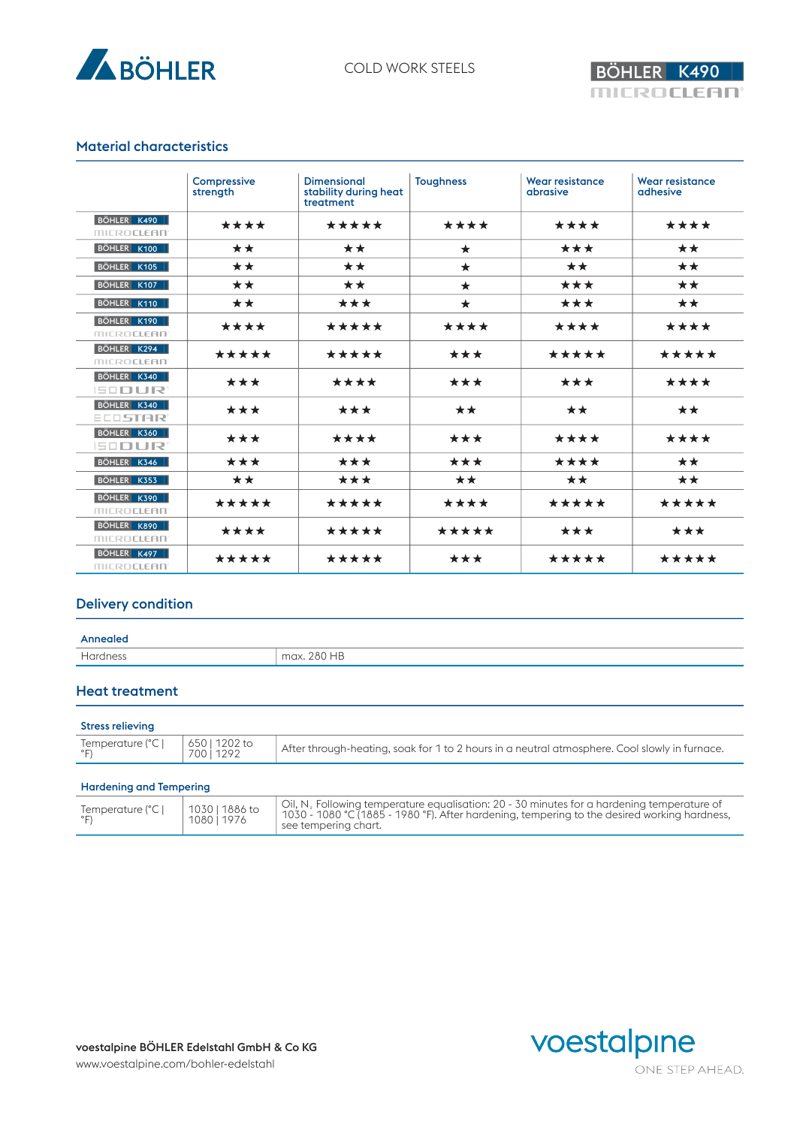



## Material characteristics

|                                  | Compressive<br>strength | <b>Dimensional</b><br>stability during heat<br>treatment | <b>Toughness</b> | <b>Wear resistance</b><br>abrasive | <b>Wear resistance</b><br>adhesive |
|----------------------------------|-------------------------|----------------------------------------------------------|------------------|------------------------------------|------------------------------------|
| BÖHLER K490<br><b>MICROCLEAN</b> | ****                    | *****                                                    | ****             | ****                               | ****                               |
| BÖHLER K100                      | **                      | **                                                       | $\star$          | ***                                | **                                 |
| BÖHLER K105                      | **                      | **                                                       | $\star$          | **                                 | $\star\star$                       |
| BÖHLER K107                      | **                      | **                                                       | $\star$          | ***                                | **                                 |
| BÖHLER K110                      | **                      | ***                                                      | $\star$          | ***                                | **                                 |
| BÖHLER K190<br><b>MICROCLEAN</b> | ****                    | *****                                                    | ****             | ****                               | ****                               |
| BÖHLER K294<br><b>MICROCLEAN</b> | *****                   | *****                                                    | ***              | *****                              | *****                              |
| BÖHLER K340<br><b>ISODUR</b>     | ***                     | ****                                                     | ***              | ***                                | ****                               |
| BÖHLER K340<br><b>ECOSTAR</b>    | ***                     | ***                                                      | **               | **                                 | $\star\star$                       |
| BÖHLER K360<br><b>ISODUR</b>     | ***                     | ****                                                     | ***              | ****                               | ****                               |
| BÖHLER K346                      | ***                     | ***                                                      | ***              | ****                               | **                                 |
| BÖHLER K353                      | **                      | ***                                                      | **               | **                                 | $\star\star$                       |
| BÖHLER K390<br><b>MICROCLEAN</b> | *****                   | *****                                                    | ****             | *****                              | *****                              |
| BÖHLER K890<br><b>MICROCLEAN</b> | ****                    | *****                                                    | *****            | ***                                | ***                                |
| BÖHLER K497<br><b>MICROCLEAN</b> | *****                   | *****                                                    | ***              | *****                              | *****                              |

## Delivery condition

#### Annealed

| . | $m \Delta$ |
|---|------------|
|   |            |

# Heat treatment

| Temperature (°C  <br>650   1202 to<br>After through-heating, soak for 1 to 2 hours in a neutral atmosphere. Cool slowly in furnace.<br>700 i 1292<br>$^{\circ}$ F)<br>UU |  |  |
|--------------------------------------------------------------------------------------------------------------------------------------------------------------------------|--|--|
|                                                                                                                                                                          |  |  |

#### Hardening and Tempering

| Temperature (°C | 1030   1886 to<br>1080   1976 | $\perp$ Oil, N <sub>2</sub> Following temperature equalisation: 20 - 30 minutes for a hardening temperature of<br>  1030 - 1080 °C (1885 - 1980 °F). After hardening, tempering to the desired working hardness,<br>$\pm$ see tempering chart. |
|-----------------|-------------------------------|------------------------------------------------------------------------------------------------------------------------------------------------------------------------------------------------------------------------------------------------|